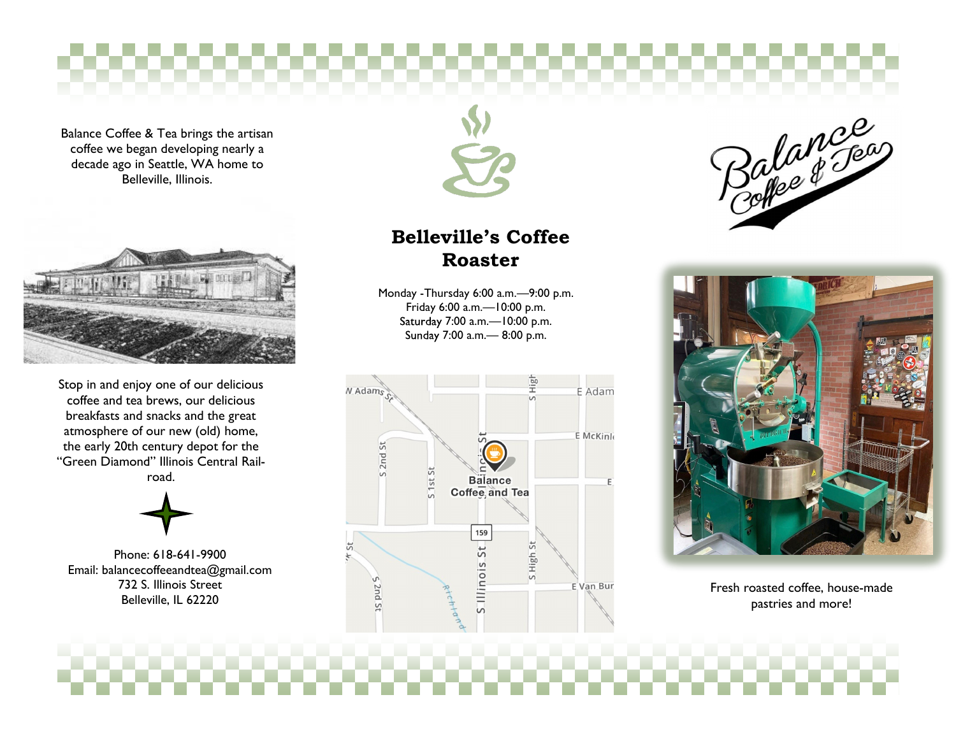Balance Coffee & Tea brings the artisan coffee we began developing nearly a decade ago in Seattle, WA home to Belleville, Illinois.



Stop in and enjoy one of our delicious coffee and tea brews, our delicious breakfasts and snacks and the great atmosphere of our new (old) home, the early 20th century depot for the "Green Diamond" Illinois Central Railroad.



Phone: 618-641-9900 Email: balancecoffeeandtea@gmail.com 732 S. Illinois Street Belleville, IL 62220



### **Belleville's Coffee Roaster**

Monday -Thursday 6:00 a.m.—9:00 p.m. Friday 6:00 a.m.—10:00 p.m. Saturday 7:00 a.m. - 10:00 p.m. 7:00 a.m.— 8:00 p.m.







Fresh roasted coffee, house-made pastries and more!